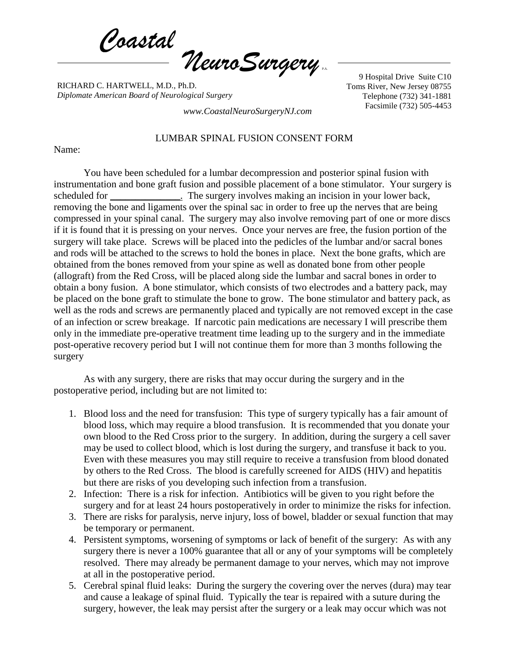*Coastal NeuroSurgery* P.A.

RICHARD C. HARTWELL, M.D., Ph.D. *Diplomate American Board of Neurological Surgery*

9 Hospital Drive Suite C10 Toms River, New Jersey 08755 Telephone (732) 341-1881 Facsimile (732) 505-4453 *www.CoastalNeuroSurgeryNJ.com*

## LUMBAR SPINAL FUSION CONSENT FORM

Name:

You have been scheduled for a lumbar decompression and posterior spinal fusion with instrumentation and bone graft fusion and possible placement of a bone stimulator. Your surgery is scheduled for \_\_\_\_\_\_\_\_\_\_\_\_\_. The surgery involves making an incision in your lower back, removing the bone and ligaments over the spinal sac in order to free up the nerves that are being compressed in your spinal canal. The surgery may also involve removing part of one or more discs if it is found that it is pressing on your nerves. Once your nerves are free, the fusion portion of the surgery will take place. Screws will be placed into the pedicles of the lumbar and/or sacral bones and rods will be attached to the screws to hold the bones in place. Next the bone grafts, which are obtained from the bones removed from your spine as well as donated bone from other people (allograft) from the Red Cross, will be placed along side the lumbar and sacral bones in order to obtain a bony fusion. A bone stimulator, which consists of two electrodes and a battery pack, may be placed on the bone graft to stimulate the bone to grow. The bone stimulator and battery pack, as well as the rods and screws are permanently placed and typically are not removed except in the case of an infection or screw breakage. If narcotic pain medications are necessary I will prescribe them only in the immediate pre-operative treatment time leading up to the surgery and in the immediate post-operative recovery period but I will not continue them for more than 3 months following the surgery

As with any surgery, there are risks that may occur during the surgery and in the postoperative period, including but are not limited to:

- 1. Blood loss and the need for transfusion: This type of surgery typically has a fair amount of blood loss, which may require a blood transfusion. It is recommended that you donate your own blood to the Red Cross prior to the surgery. In addition, during the surgery a cell saver may be used to collect blood, which is lost during the surgery, and transfuse it back to you. Even with these measures you may still require to receive a transfusion from blood donated by others to the Red Cross. The blood is carefully screened for AIDS (HIV) and hepatitis but there are risks of you developing such infection from a transfusion.
- 2. Infection: There is a risk for infection. Antibiotics will be given to you right before the surgery and for at least 24 hours postoperatively in order to minimize the risks for infection.
- 3. There are risks for paralysis, nerve injury, loss of bowel, bladder or sexual function that may be temporary or permanent.
- 4. Persistent symptoms, worsening of symptoms or lack of benefit of the surgery: As with any surgery there is never a 100% guarantee that all or any of your symptoms will be completely resolved. There may already be permanent damage to your nerves, which may not improve at all in the postoperative period.
- 5. Cerebral spinal fluid leaks: During the surgery the covering over the nerves (dura) may tear and cause a leakage of spinal fluid. Typically the tear is repaired with a suture during the surgery, however, the leak may persist after the surgery or a leak may occur which was not